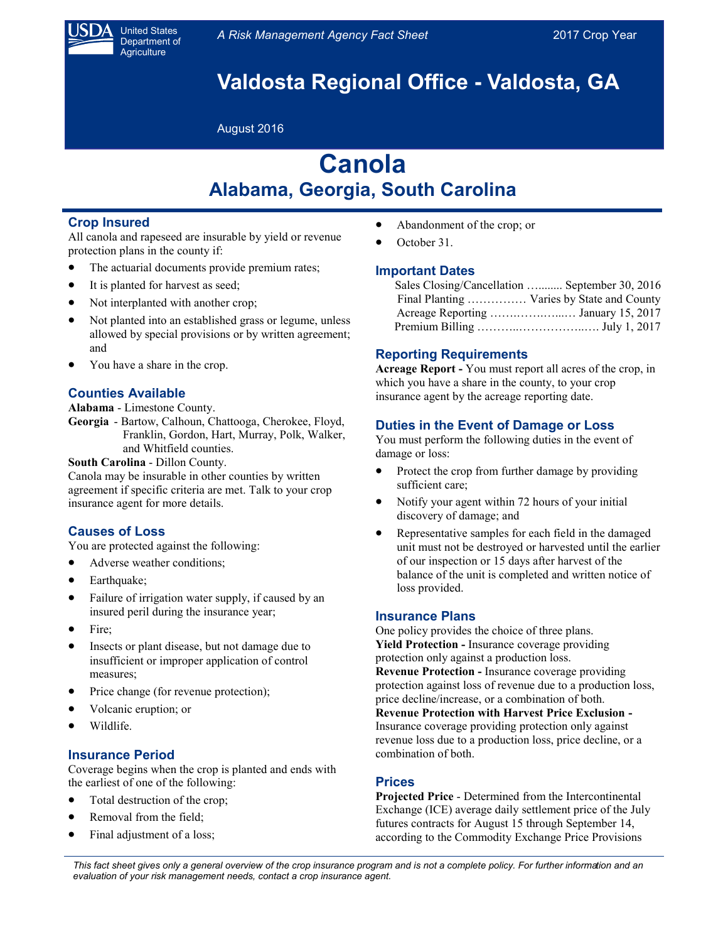

United States Department of **Agriculture** 

# **Valdosta Regional Office - Valdosta, GA**

August 2016

# **Canola Alabama, Georgia, South Carolina**

## **Crop Insured**

All canola and rapeseed are insurable by yield or revenue protection plans in the county if:

- The actuarial documents provide premium rates;
- It is planted for harvest as seed;
- Not interplanted with another crop;
- Not planted into an established grass or legume, unless allowed by special provisions or by written agreement; and
- You have a share in the crop.

# **Counties Available**

**Alabama** - Limestone County.

**Georgia** - Bartow, Calhoun, Chattooga, Cherokee, Floyd, Franklin, Gordon, Hart, Murray, Polk, Walker, and Whitfield counties.

### **South Carolina** - Dillon County.

Canola may be insurable in other counties by written agreement if specific criteria are met. Talk to your crop insurance agent for more details.

## **Causes of Loss**

You are protected against the following:

- Adverse weather conditions;
- Earthquake;
- Failure of irrigation water supply, if caused by an insured peril during the insurance year;
- Fire;
- Insects or plant disease, but not damage due to insufficient or improper application of control measures;
- Price change (for revenue protection);
- Volcanic eruption; or
- Wildlife.

# **Insurance Period**

Coverage begins when the crop is planted and ends with the earliest of one of the following:

- Total destruction of the crop;
- Removal from the field;
- Final adjustment of a loss;
- Abandonment of the crop; or
- October 31.

## **Important Dates**

| Sales Closing/Cancellation  September 30, 2016 |
|------------------------------------------------|
| Final Planting  Varies by State and County     |
|                                                |
|                                                |

# **Reporting Requirements**

**Acreage Report -** You must report all acres of the crop, in which you have a share in the county, to your crop insurance agent by the acreage reporting date.

# **Duties in the Event of Damage or Loss**

You must perform the following duties in the event of damage or loss:

- Protect the crop from further damage by providing sufficient care;
- Notify your agent within 72 hours of your initial discovery of damage; and
- Representative samples for each field in the damaged unit must not be destroyed or harvested until the earlier of our inspection or 15 days after harvest of the balance of the unit is completed and written notice of loss provided.

## **Insurance Plans**

One policy provides the choice of three plans. **Yield Protection -** Insurance coverage providing protection only against a production loss. **Revenue Protection -** Insurance coverage providing protection against loss of revenue due to a production loss, price decline/increase, or a combination of both.

**Revenue Protection with Harvest Price Exclusion -** Insurance coverage providing protection only against revenue loss due to a production loss, price decline, or a combination of both.

# **Prices**

**Projected Price** - Determined from the Intercontinental Exchange (ICE) average daily settlement price of the July futures contracts for August 15 through September 14, according to the Commodity Exchange Price Provisions

*This fact sheet gives only a general overview of the crop insurance program and is not a complete policy. For further information and an evaluation of your risk management needs, contact a crop insurance agent.*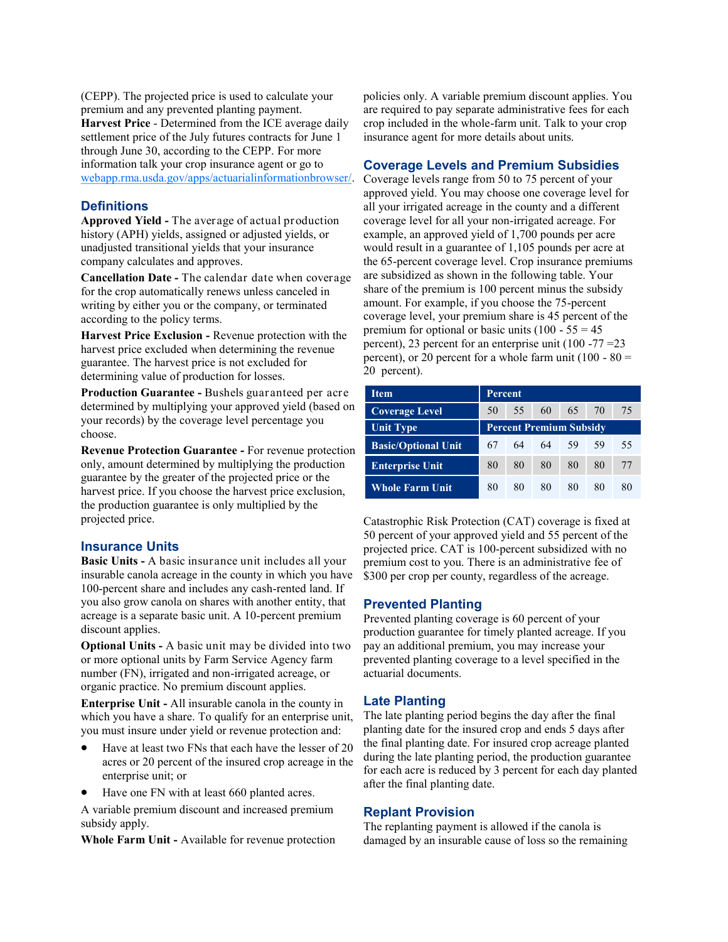(CEPP). The projected price is used to calculate your premium and any prevented planting payment. **Harvest Price** - Determined from the ICE average daily settlement price of the July futures contracts for June 1 through June 30, according to the CEPP. For more [information talk your crop insurance agent or go to](http://webapp.rma.usda.gov/apps/ActuarialInformationBrowser)  [webapp.rma.usda.gov/apps/actuarialinformationbrowser/.](http://webapp.rma.usda.gov/apps/ActuarialInformationBrowser)

### **Definitions**

**Approved Yield -** The average of actual production history (APH) yields, assigned or adjusted yields, or unadjusted transitional yields that your insurance company calculates and approves.

**Cancellation Date -** The calendar date when coverage for the crop automatically renews unless canceled in writing by either you or the company, or terminated according to the policy terms.

**Harvest Price Exclusion -** Revenue protection with the harvest price excluded when determining the revenue guarantee. The harvest price is not excluded for determining value of production for losses.

**Production Guarantee -** Bushels guaranteed per acre determined by multiplying your approved yield (based on your records) by the coverage level percentage you choose.

**Revenue Protection Guarantee -** For revenue protection only, amount determined by multiplying the production guarantee by the greater of the projected price or the harvest price. If you choose the harvest price exclusion, the production guarantee is only multiplied by the projected price.

### **Insurance Units**

**Basic Units -** A basic insurance unit includes all your insurable canola acreage in the county in which you have 100-percent share and includes any cash-rented land. If you also grow canola on shares with another entity, that acreage is a separate basic unit. A 10-percent premium discount applies.

**Optional Units -** A basic unit may be divided into two or more optional units by Farm Service Agency farm number (FN), irrigated and non-irrigated acreage, or organic practice. No premium discount applies.

**Enterprise Unit -** All insurable canola in the county in which you have a share. To qualify for an enterprise unit, you must insure under yield or revenue protection and:

- Have at least two FNs that each have the lesser of 20 acres or 20 percent of the insured crop acreage in the enterprise unit; or
- Have one FN with at least 660 planted acres.

A variable premium discount and increased premium subsidy apply.

**Whole Farm Unit -** Available for revenue protection

policies only. A variable premium discount applies. You are required to pay separate administrative fees for each crop included in the whole-farm unit. Talk to your crop insurance agent for more details about units.

## **Coverage Levels and Premium Subsidies**

Coverage levels range from 50 to 75 percent of your approved yield. You may choose one coverage level for all your irrigated acreage in the county and a different coverage level for all your non-irrigated acreage. For example, an approved yield of 1,700 pounds per acre would result in a guarantee of 1,105 pounds per acre at the 65-percent coverage level. Crop insurance premiums are subsidized as shown in the following table. Your share of the premium is 100 percent minus the subsidy amount. For example, if you choose the 75-percent coverage level, your premium share is 45 percent of the premium for optional or basic units  $(100 - 55 = 45)$ percent), 23 percent for an enterprise unit  $(100 - 77) = 23$ percent), or 20 percent for a whole farm unit  $(100 - 80)$ 20 percent).

| <b>Item</b>                | Percent                        |    |    |    |    |    |  |
|----------------------------|--------------------------------|----|----|----|----|----|--|
| <b>Coverage Level</b>      | 50                             | 55 | 60 | 65 | 70 | 75 |  |
| <b>Unit Type</b>           | <b>Percent Premium Subsidy</b> |    |    |    |    |    |  |
| <b>Basic/Optional Unit</b> | 67                             | 64 | 64 | 59 | 59 | 55 |  |
| <b>Enterprise Unit</b>     | 80                             | 80 | 80 | 80 | 80 | 77 |  |
| <b>Whole Farm Unit</b>     | 80                             | 80 | 80 | 80 | 80 | 80 |  |

Catastrophic Risk Protection (CAT) coverage is fixed at 50 percent of your approved yield and 55 percent of the projected price. CAT is 100-percent subsidized with no premium cost to you. There is an administrative fee of \$300 per crop per county, regardless of the acreage.

#### **Prevented Planting**

Prevented planting coverage is 60 percent of your production guarantee for timely planted acreage. If you pay an additional premium, you may increase your prevented planting coverage to a level specified in the actuarial documents.

### **Late Planting**

The late planting period begins the day after the final planting date for the insured crop and ends 5 days after the final planting date. For insured crop acreage planted during the late planting period, the production guarantee for each acre is reduced by 3 percent for each day planted after the final planting date.

## **Replant Provision**

The replanting payment is allowed if the canola is damaged by an insurable cause of loss so the remaining